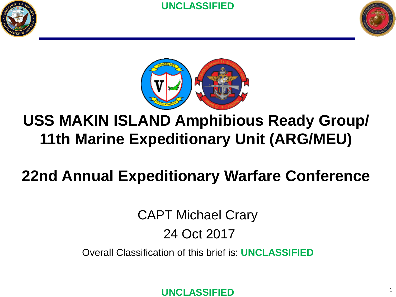



1



## **USS MAKIN ISLAND Amphibious Ready Group/ 11th Marine Expeditionary Unit (ARG/MEU)**

## **22nd Annual Expeditionary Warfare Conference**

CAPT Michael Crary 24 Oct 2017

Overall Classification of this brief is: **UNCLASSIFIED**

**UNCLASSIFIED**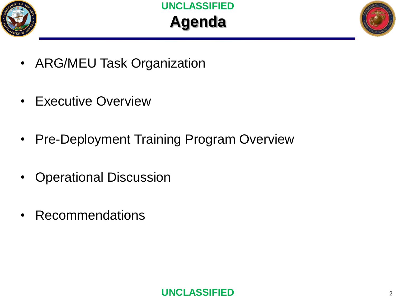



- ARG/MEU Task Organization
- **Executive Overview**
- Pre-Deployment Training Program Overview
- Operational Discussion
- Recommendations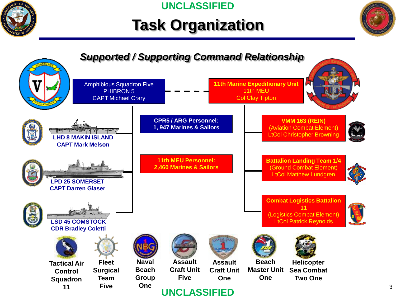

# **Task Organization**



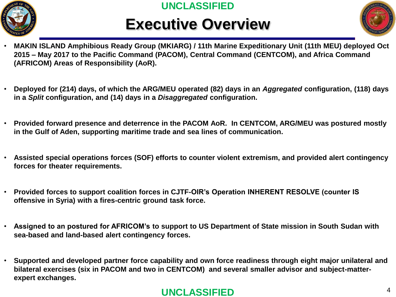

# **Executive Overview**



- **MAKIN ISLAND Amphibious Ready Group (MKIARG) / 11th Marine Expeditionary Unit (11th MEU) deployed Oct 2015 – May 2017 to the Pacific Command (PACOM), Central Command (CENTCOM), and Africa Command (AFRICOM) Areas of Responsibility (AoR).**
- **Deployed for (214) days, of which the ARG/MEU operated (82) days in an** *Aggregated* **configuration, (118) days in a** *Split* **configuration, and (14) days in a** *Disaggregated* **configuration.**
- **Provided forward presence and deterrence in the PACOM AoR. In CENTCOM, ARG/MEU was postured mostly in the Gulf of Aden, supporting maritime trade and sea lines of communication.**
- **Assisted special operations forces (SOF) efforts to counter violent extremism, and provided alert contingency forces for theater requirements.**
- **Provided forces to support coalition forces in CJTF-OIR's Operation INHERENT RESOLVE (counter IS offensive in Syria) with a fires-centric ground task force.**
- **Assigned to an postured for AFRICOM's to support to US Department of State mission in South Sudan with sea-based and land-based alert contingency forces.**
- **Supported and developed partner force capability and own force readiness through eight major unilateral and bilateral exercises (six in PACOM and two in CENTCOM) and several smaller advisor and subject-matterexpert exchanges.**

#### **UNCLASSIFIED**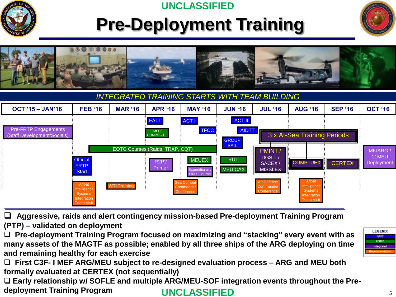

# **Pre-Deployment Training**





ommande **Conference**  Intelligence **Systems** ntegration Team Visit

 **Aggressive, raids and alert contingency mission-based Pre-deployment Training Program (PTP) – validated on deployment**

WTI Training

Afloat elligence **Systems** ntegratior Team Visit

**Commander Conference** 

 **Pre-deployment Training Program focused on maximizing and "stacking" every event with as many assets of the MAGTF as possible; enabled by all three ships of the ARG deploying on time and remaining healthy for each exercise**

 **First C3F- I MEF ARG/MEU subject to re-designed evaluation process – ARG and MEU both formally evaluated at CERTEX (not sequentially)**

 **Early relationship w/ SOFLE and multiple ARG/MEU-SOF integration events throughout the Predeployment Training Program UNCLASSIFIED**

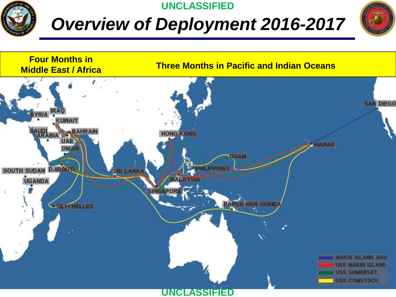

# *Overview of Deployment 2016-2017*



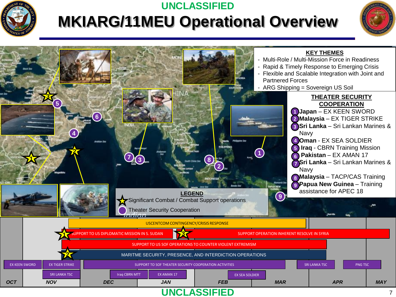

### **MKIARG/11MEU Operational Overview UNCLASSIFIED**



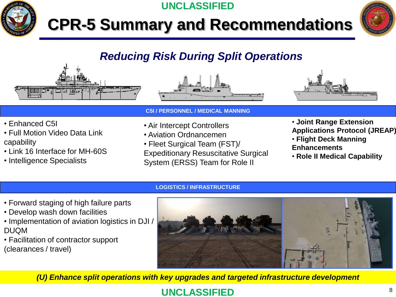

# **CPR-5 Summary and Recommendations**

**UNCLASSIFIED**



### *Reducing Risk During Split Operations*







- Enhanced C5I
- Full Motion Video Data Link capability
- Link 16 Interface for MH-60S
- Intelligence Specialists
- **C5I / PERSONNEL / MEDICAL MANNING**
- Air Intercept Controllers
- Aviation Ordnancemen
- Fleet Surgical Team (FST)/
- Expeditionary Resuscitative Surgical System (ERSS) Team for Role II
- **Joint Range Extension**
- **Applications Protocol (JREAP)**
- **Flight Deck Manning Enhancements**
- **Role II Medical Capability**

#### **LOGISTICS / INFRASTRUCTURE**

- Forward staging of high failure parts
- Develop wash down facilities
- Implementation of aviation logistics in DJI / DUQM
- Facilitation of contractor support (clearances / travel)



*(U) Enhance split operations with key upgrades and targeted infrastructure development*

### **UNCLASSIFIED** <sup>8</sup>